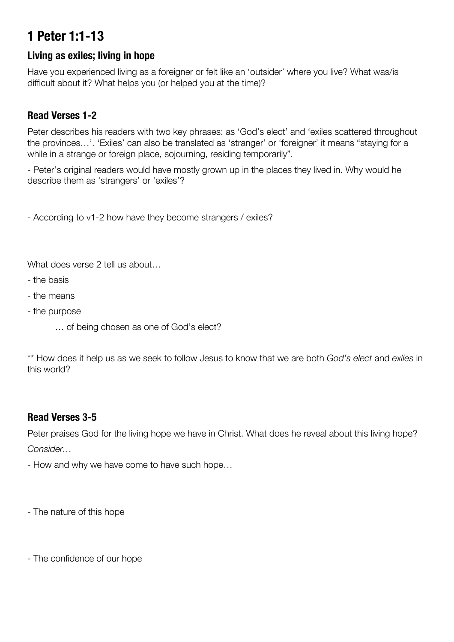# **1 Peter 1:1-13**

# **Living as exiles; living in hope**

Have you experienced living as a foreigner or felt like an 'outsider' where you live? What was/is difficult about it? What helps you (or helped you at the time)?

# **Read Verses 1-2**

Peter describes his readers with two key phrases: as 'God's elect' and 'exiles scattered throughout the provinces…'. 'Exiles' can also be translated as 'stranger' or 'foreigner' it means "staying for a while in a strange or foreign place, sojourning, residing temporarily".

- Peter's original readers would have mostly grown up in the places they lived in. Why would he describe them as 'strangers' or 'exiles'?

- According to v1-2 how have they become strangers / exiles?

What does verse 2 tell us about...

- the basis
- the means
- the purpose
	- … of being chosen as one of God's elect?

\*\* How does it help us as we seek to follow Jesus to know that we are both *God's elect* and *exiles* in this world?

# **Read Verses 3-5**

Peter praises God for the living hope we have in Christ. What does he reveal about this living hope? *Consider…*

- How and why we have come to have such hope…

- The nature of this hope

- The confidence of our hope